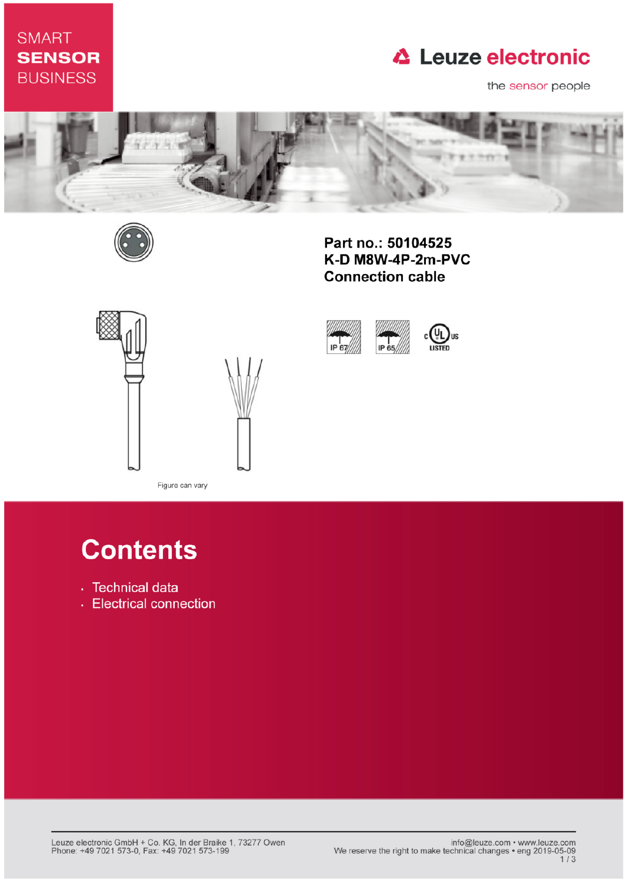# **SMART SENSOR BUSINESS**

# **△ Leuze electronic**

the sensor people



IP 67



Part no.: 50104525 K-D M8W-4P-2m-PVC **Connection cable** 

IP 65





Figure can vary

# **Contents**

- · Technical data
- Electrical connection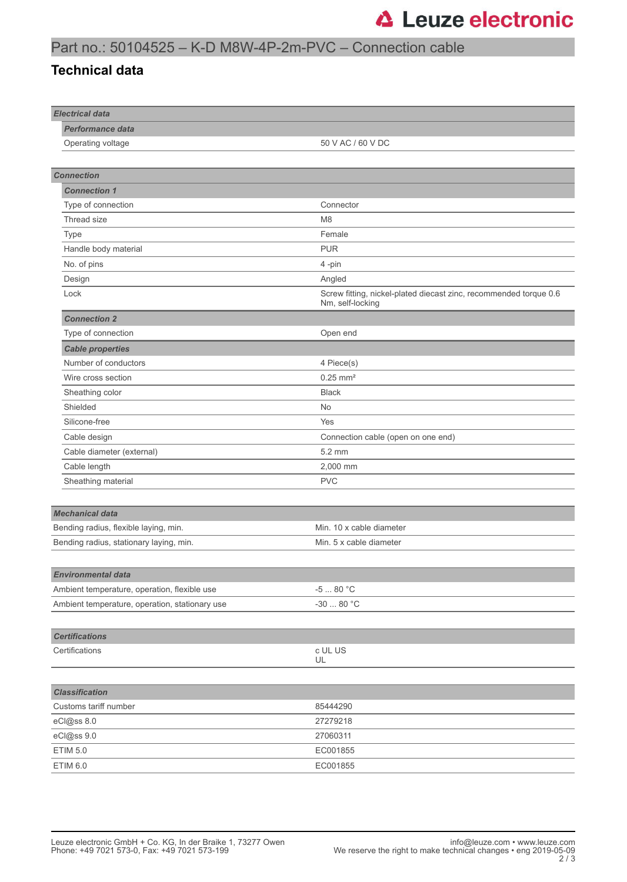## Part no.: 50104525 – K-D M8W-4P-2m-PVC – Connection cable

#### **Technical data**

| <b>Electrical data</b>                         |                                                                                       |
|------------------------------------------------|---------------------------------------------------------------------------------------|
| <b>Performance data</b>                        |                                                                                       |
| Operating voltage                              | 50 V AC / 60 V DC                                                                     |
|                                                |                                                                                       |
| <b>Connection</b>                              |                                                                                       |
| <b>Connection 1</b>                            |                                                                                       |
| Type of connection                             | Connector                                                                             |
| Thread size                                    | M <sub>8</sub>                                                                        |
| Type                                           | Female                                                                                |
| Handle body material                           | <b>PUR</b>                                                                            |
| No. of pins                                    | 4-pin                                                                                 |
| Design                                         | Angled                                                                                |
| Lock                                           | Screw fitting, nickel-plated diecast zinc, recommended torque 0.6<br>Nm, self-locking |
| <b>Connection 2</b>                            |                                                                                       |
| Type of connection                             | Open end                                                                              |
| <b>Cable properties</b>                        |                                                                                       |
| Number of conductors                           | 4 Piece(s)                                                                            |
| Wire cross section                             | $0.25$ mm <sup>2</sup>                                                                |
| Sheathing color                                | <b>Black</b>                                                                          |
| Shielded                                       | <b>No</b>                                                                             |
| Silicone-free                                  | Yes                                                                                   |
| Cable design                                   | Connection cable (open on one end)                                                    |
| Cable diameter (external)                      | 5.2 mm                                                                                |
| Cable length                                   | 2,000 mm                                                                              |
| Sheathing material                             | <b>PVC</b>                                                                            |
|                                                |                                                                                       |
| <b>Mechanical data</b>                         |                                                                                       |
| Bending radius, flexible laying, min.          | Min. 10 x cable diameter                                                              |
| Bending radius, stationary laying, min.        | Min. 5 x cable diameter                                                               |
|                                                |                                                                                       |
| Environmental data                             |                                                                                       |
| Ambient temperature, operation, flexible use   | -5 $\ldots$ 80 $^{\circ}{\rm C}$                                                      |
| Ambient temperature, operation, stationary use | -30 $\ldots$ 80 $^{\circ} \mathrm{C}$                                                 |
|                                                |                                                                                       |
| <b>Certifications</b>                          |                                                                                       |
| Certifications                                 | c UL US                                                                               |
|                                                | UL                                                                                    |
|                                                |                                                                                       |
| <b>Classification</b>                          |                                                                                       |
| Customs tariff number                          | 85444290                                                                              |
| eCl@ss 8.0                                     | 27279218                                                                              |
| eCl@ss 9.0                                     | 27060311                                                                              |
| <b>ETIM 5.0</b>                                | EC001855                                                                              |
| ETIM 6.0                                       | EC001855                                                                              |